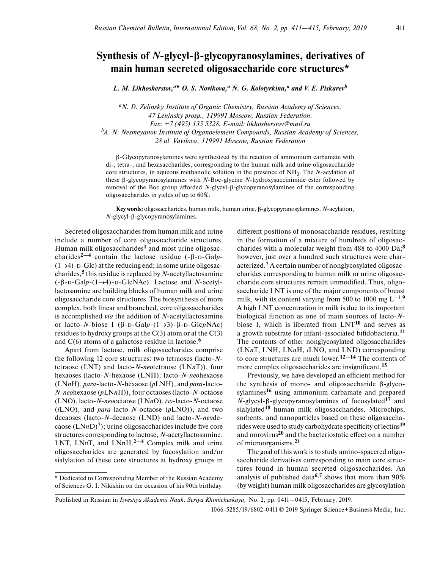## **Synthesis of** *N***-glycyl-β-glycopyranosylamines, derivatives of main human secreted oligosaccharide core structures\***

*L. M. Likhosherstov,*<sup> $a\star$ </sup> *O. S. Novikova,*<sup>*a</sup> N. G. Kolotyrkina,*<sup>*a*</sup> and *V. E. Piskarev*<sup>*b*</sup></sup>

*aN. D. Zelinsky Institute of Organic Chemistry, Russian Academy of Sciences, 47 Leninsky prosp., 119991 Moscow, Russian Federation. Fax: +7 (495) 135 5328. E-mail: likhosherstov@mail.ru bA. N. Nesmeyanov Institute of Organoelement Compounds, Russian Academy of Sciences, 28 ul. Vavilova, 119991 Moscow, Russian Federation*

 $\beta$ -Glycopyranosylamines were synthesized by the reaction of ammonium carbamate with di-, tetra-, and hexasaccharides, corresponding to the human milk and urine oligosaccharide core structures, in aqueous methanolic solution in the presence of NH3. The *N*-acylation of these  $\beta$ -glycopyranosylamines with *N*-Boc-glycine *N*-hydroxysuccinimide ester followed by removal of the Boc group afforded  $N$ -glycyl- $\beta$ -glycopyranosylamines of the corresponding oligosaccharides in yields of up to 60%.

Key words: oligosaccharides, human milk, human urine, β-glycopyranosylamines, *N*-acylation, *N*-glycyl-β-glycopyranosylamines.

Secreted oligosaccharides from human milk and urine include a number of core oligosaccharide structures. Human milk oligosaccharides**1** and most urine oligosaccharides**2—4** contain the lactose residue (-β-D-Gal*p*-  $(1\rightarrow 4)$ -D-Glc) at the reducing end; in some urine oligosaccharides,**5** this residue is replaced by *N*-acetyllactosamine (-β-D-Gal*p*-(14)-D-GlcNAc). Lactose and *N*-acetyllactosamine are building blocks of human milk and urine oligosaccharide core structures. The biosynthesis of more complex, both linear and branched, core oligosaccharides is accomplished *via* the addition of *N*-acetyllactosamine or lacto-*N*-biose I (β-D-Gal*p*-(13)-β-D-Glc*p*NAc) residues to hydroxy groups at the  $C(3)$  atom or at the  $C(3)$ and C(6) atoms of a galactose residue in lactose.**<sup>6</sup>**

Apart from lactose, milk oligosaccharides comprise the following 12 core structures: two tetraoses (lacto-*N*tetraose (LNT) and lacto-*N*-*neo*tetraose (LN*n*T)), four hexaoses (lacto-*N*-hexaose (LNH), lacto-*N*-*neo*hexaose (LN*n*H), *para*-lacto-*N*-hexaose (*p*LNH), and *para*-lacto-*N*-*neo*hexaose (*p*LN*n*H)), four octaoses (lacto-*N*-octaose (LNO), lacto-*N*-*neo*octaose (LN*n*O), *iso*-lacto-*N*-octaose (*i*LNO), and *para*-lacto-*N*-octaose (*p*LNO)), and two decaoses (lacto-*N*-decaose (LND) and lacto-*N*-*neo*decaose  $(LNnD)^7$ ; urine oligosaccharides include five core structures corresponding to lactose, *N*-acetyllactosamine, LNT, LNnT, and LNnH.<sup>2-4</sup> Complex milk and urine oligosaccharides are generated by fucosylation and/or sialylation of these core structures at hydroxy groups in

different positions of monosaccharide residues, resulting in the formation of a mixture of hundreds of oligosaccharides with a molecular weight from 488 to 4000 Da;**<sup>8</sup>** however, just over a hundred such structures were characterized.**7** A certain number of nonglycosylated oligosaccharides corresponding to human milk or urine oligosaccharide core structures remain unmodified. Thus, oligosaccharide LNT is one of the major components of breast milk, with its content varying from 500 to 1000 mg  $L^{-1}$ .<sup>9</sup> A high LNT concentration in milk is due to its important biological function as one of main sources of lacto-*N*biose I, which is liberated from LNT**10** and serves as a growth substrate for infant-associated bifidobacteria.<sup>11</sup> The contents of other nonglycosylated oligosaccharides (LN*n*T, LNH, LN*n*H, *i*LNO, and LND) corresponding to core structures are much lower.**12**—**14** The contents of more complex oligosaccharides are insignificant.<sup>15</sup>

Previously, we have developed an efficient method for the synthesis of mono- and oligosaccharide β-glycosylamines**16** using ammonium carbamate and prepared *N*-glycyl-β-glycopyranosylamines of fucosylated**17** and sialylated**18** human milk oligosaccharides. Microchips, sorbents, and nanoparticles based on these oligosaccharides were used to study carbohydrate specificity of lectins<sup>19</sup> and norovirus<sup>20</sup> and the bacteriostatic effect on a number of microorganisms.**<sup>21</sup>**

The goal of this work is to study amino-spacered oligosaccharide derivatives corresponding to main core structures found in human secreted oligosaccharides. An analysis of published data**6**,**7** shows that more than 90% (by weight) human milk oligosaccharides are glycosylation

Published in Russian in *Izvestiya Akademii Nauk. Seriya Khimicheskaya,* No. 2, pp. 0411—0415, February, 2019.

1066-5285/19/6802-0411 © 2019 Springer Science+Business Media, Inc.

<sup>\*</sup> Dedicated to Corresponding Member of the Russian Academy of Sciences G. I. Nikishin on the occasion of his 90th birthday.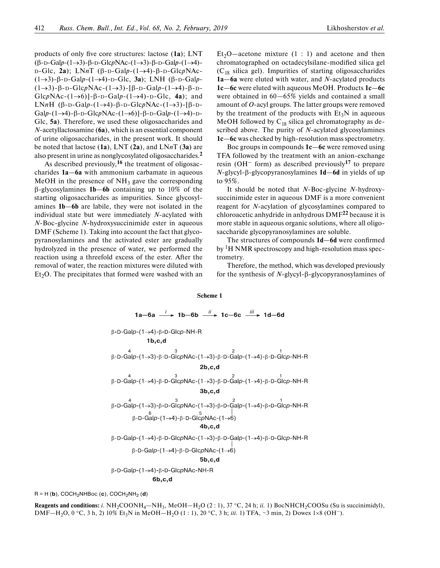products of only five core structures: lactose (1a); LNT (β-D-Gal*p*-(13)-β-D-Glc*p*NAc-(13)-β-D-Gal*p*-(14)- D-Glc, **2a**); LN*n*T (β-D-Gal*p*-(14)-β-D-Glc*p*NAc- (13)-β-D-Gal*p*-(14)-D-Glc, **3a**); LNH (β-D-Gal*p*- (13)-β-D-Glc*p*NAc-(13)-[β-D-Gal*p*-(14)-β-D-GlcpNAc- $(1\rightarrow6)$ ]-β-D-Galp- $(1\rightarrow4)$ -D-Glc, **4a**); and LN*n*H (β-D-Galp-(1→4)-β-D-GlcpNAc-(1→3)-[β-D-Galp-(1→4)-β-D-GlcpNAc-(1→6)]-β-D-Galp-(1→4)-D-Glc, **5a**). Therefore, we used these oligosaccharides and *N*-acetyllactosamine (**6a**), which is an essential component of urine oligosaccharides, in the present work. It should be noted that lactose (**1a**), LNT (**2a**), and LN*n*T (**3a**) are also present in urine as nonglycosylated oligosaccharides.**<sup>2</sup>**

As described previously,**16** the treatment of oligosaccharides **1a**—**6a** with ammonium carbamate in aqueous MeOH in the presence of  $NH_3$  gave the corresponding β-glycosylamines **1b**—**6b** containing up to 10% of the starting oligosaccharides as impurities. Since glycosylamines **1b**—**6b** are labile, they were not isolated in the individual state but were immediately *N*-acylated with *N*-Boc-glycine *N*-hydroxysuccinimide ester in aqueous DMF (Scheme 1). Taking into account the fact that glycopyranosylamines and the activated ester are gradually hydrolyzed in the presence of water, we performed the reaction using a threefold excess of the ester. After the removal of water, the reaction mixtures were diluted with  $Et<sub>2</sub>O$ . The precipitates that formed were washed with an

Et<sub>2</sub>O—acetone mixture  $(1 : 1)$  and acetone and then chromatographed on octadecylsilane-modified silica gel  $(C_{18}$  silica gel). Impurities of starting oligosaccharides **1a**—**6a** were eluted with water, and *N*-acylated products **1c**—**6c** were eluted with aqueous MeOH. Products **1c**—**6c** were obtained in 60—65% yields and contained a small amount of *O*-acyl groups. The latter groups were removed by the treatment of the products with  $Et_3N$  in aqueous MeOH followed by  $C_{18}$  silica gel chromatography as described above. The purity of *N-*acylated glycosylamines **1c**—**6c** was checked by high-resolution mass spectrometry.

Boc groups in compounds **1c**—**6c** were removed using TFA followed by the treatment with an anion-exchange resin (OH– form) as described previously**<sup>17</sup>** to prepare *N*-glycyl--glycopyranosylamines **1d**—**6d** in yields of up to 95%.

It should be noted that *N*-Boc-glycine *N*-hydroxysuccinimide ester in aqueous DMF is a more convenient reagent for *N*-acylation of glycosylamines compared to chloroacetic anhydride in anhydrous DMF**22** because it is more stable in aqueous organic solutions, where all oligosaccharide glycopyranosylamines are soluble.

The structures of compounds  $1d$ —6d were confirmed by  ${}^{1}H$  NMR spectroscopy and high-resolution mass spectrometry.

Therefore, the method, which was developed previously for the synthesis of *N*-glycyl-β-glycopyranosylamines of

## **Scheme 1**

1a-6a 
$$
\xrightarrow{i}
$$
 1b-6b  $\xrightarrow{ii}$  1c-6c  $\xrightarrow{iii}$  1d-6d  
\nβ-D-Galp-(1→4)-β-D-Glcp-NH-R  
\n1b,c,d  
\nβ-D-Galp-(1→3)-β-D-GlcpNAc-(1→3)-β-D-Galp-(1→4)-β-D-Glcp-NH-R  
\n2b,c,d  
\nβ-D-Galp-(1→4)-β-D-GlcpNAc-(1→3)-β-D-Galp-(1→4)-β-D-Glcp-NH-R  
\n3b,c,d  
\nβ-D-Galp-(1→3)-β-D-GlcpNAc-(1→3)-β-D-Galp-(1→4)-β-D-Glcp-NH-R  
\nβ-D-Galp-(1→4)-β-D-GlcpNAc-(1→6)  
\n4b,c,d  
\nβ-D-Galp-(1→4)-β-D-GlcpNAc-(1→3)-β-D-Galp-(1→4)-β-D-Glcp-NH-R  
\nβ-D-Galp-(1→4)-β-D-GlcpNAc-(1→6)  
\n5b,c,d  
\nβ-D-Galp-(1→4)-β-D-GlcpNAc-(1→6)  
\n5b,c,d  
\nβ-D-Galp-(1→4)-β-D-GlcpNAc-NH-R  
\n6b,c,d

 $R = H$  (**b**), COCH<sub>2</sub>NHBoc (**c**), COCH<sub>2</sub>NH<sub>2</sub> (**d**)

**Reagents and conditions:** *i.*  $NH_2COONH_4-MH_3$ ,  $MeOH-H_2O$  (2 : 1), 37 °C, 24 h; *ii.* 1) BocNHCH<sub>2</sub>COOSu (Su is succinimidyl), DMF—H<sub>2</sub>O, 0 °C, 3 h, 2) 10% Et<sub>3</sub>N in MeOH—H<sub>2</sub>O (1 : 1), 20 °C, 3 h; *iii.* 1) TFA, ~3 min, 2) Dowex 1×8 (OH<sup>-</sup>).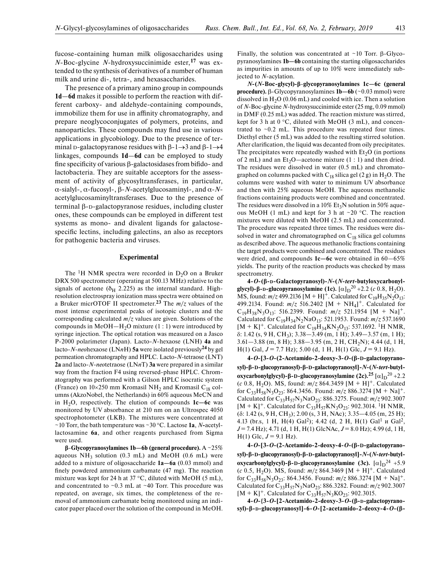fucose-containing human milk oligosaccharides using *N*-Boc-glycine *N*-hydroxysuccinimide ester,**17** was extended to the synthesis of derivatives of a number of human milk and urine di-, tetra-, and hexasaccharides.

The presence of a primary amino group in compounds **1d**—**6d** makes it possible to perform the reaction with different carboxy- and aldehyde-containing compounds, immobilize them for use in affinity chromatography, and prepare neoglycoconjugates of polymers, proteins, and nanoparticles. These compounds may find use in various applications in glycobiology. Due to the presence of terminal D-galactopyranose residues with  $\beta$ -1 $\rightarrow$ 3 and  $\beta$ -1 $\rightarrow$ 4 linkages, compounds **1d**—**6d** can be employed to study fine specificity of various  $\beta$ -galactosidases from bifido- and lactobacteria. They are suitable acceptors for the assessment of activity of glycosyltransferases, in particular, α-sialyl-, α-fucosyl-, β-*N*-acetylglucosaminyl-, and α-*N*acetylglucosaminyltransferases. Due to the presence of terminal β-D-galactopyranose residues, including cluster ones, these compounds can be employed in different test systems as mono- and divalent ligands for galactosespecific lectins, including galectins, an also as receptors for pathogenic bacteria and viruses.

## **Experimental**

The <sup>1</sup>H NMR spectra were recorded in  $D_2O$  on a Bruker DRX 500 spectrometer (operating at 500.13 MHz) relative to the signals of acetone ( $\delta$ <sub>H</sub> 2.225) as the internal standard. Highresolution electrospray ionization mass spectra were obtained on a Bruker micrOTOF II spectrometer.**23** The *m*/*z* values of the most intense experimental peaks of isotopic clusters and the corresponding calculated *m*/*z* values are given. Solutions of the compounds in MeOH-H<sub>2</sub>O mixture (1 : 1) were introduced by syringe injection. The optical rotation was measured on a Jasco P-2000 polarimeter (Japan). Lacto-*N*-hexaose (LNH) **4a** and lacto-*N*-*neo*hexaose (LN*n*H) **5a** were isolated previously**24** by gel permeation chromatography and HPLC. Lacto-*N*-tetraose (LNT) **2a** and lacto-*N*-*neo*tetraose (LN*n*T) **3a** were prepared in a similar way from the fraction F4 using reversed-phase HPLC. Chromatography was performed with a Gilson HPLC isocratic system (France) on  $10\times250$  mm Kromasil NH<sub>2</sub> and Kromasil C<sub>18</sub> columns (AkzoNobel, the Netherlands) in 60% aqueous MeCN and in H<sub>2</sub>O, respectively. The elution of compounds **1c–6c** was monitored by UV absorbance at 210 nm on an Ultrospec 4050 spectrophotometer (LKB). The mixtures were concentrated at  $\sim$  10 Torr, the bath temperature was  $\sim$  30 °C. Lactose 1a, *N*-acetyllactosamine **6a**, and other reagents purchased from Sigma were used.

**β**-**Glycopyranosylamines 1b—6b (general procedure).** A ~25% aqueous  $NH_3$  solution (0.3 mL) and MeOH (0.6 mL) were added to a mixture of oligosaccharide **1a—6a** (0.03 mmol) and finely powdered ammonium carbamate (47 mg). The reaction mixture was kept for 24 h at 37  $\degree$ C, diluted with MeOH (5 mL), and concentrated to  $\sim 0.3$  mL at  $\sim 40$  Torr. This procedure was repeated, on average, six times, the completeness of the removal of ammonium carbamate being monitored using an indicator paper placed over the solution of the compound in MeOH.

Finally, the solution was concentrated at  $\sim$ 10 Torr. β-Glycopyranosylamines **1b—6b** containing the starting oligosaccharides as impurities in amounts of up to 10% were immediately subjected to *N*-acylation.

*N***-(***N***-Boc-glycyl)-β**-**glycopyranosylamines 1c—6c (general procedure).** β-Glycopyranosylamines **1b—6b** (~0.03 mmol) were dissolved in  $H<sub>2</sub>O$  (0.06 mL) and cooled with ice. Then a solution of *N*-Boc-glycine *N*-hydroxysuccinimide ester (25 mg, 0.09 mmol) in DMF (0.25 mL) was added. The reaction mixture was stirred, kept for 3 h at  $0 °C$ , diluted with MeOH (3 mL), and concentrated to ~0.2 mL. This procedure was repeated four times. Diethyl ether (5 mL) was added to the resulting stirred solution. After clarification, the liquid was decanted from oily precipitates. The precipitates were repeatedly washed with  $Et<sub>2</sub>O$  (in portions of 2 mL) and an  $Et_2O$ —acetone mixture (1 : 1) and then dried. The residues were dissolved in water (0.5 mL) and chromatographed on columns packed with  $C_{18}$  silica gel (2 g) in  $H_2O$ . The columns were washed with water to minimum UV absorbance and then with 25% aqueous MeOH. The aqueous methanolic fractions containing products were combined and concentrated. The residues were dissolved in a  $10\%$  Et<sub>3</sub>N solution in 50% aqueous MeOH (1 mL) and kept for 3 h at  $\sim$ 20 °C. The reaction mixtures were diluted with MeOH (2.5 mL) and concentrated. The procedure was repeated three times. The residues were dissolved in water and chromatographed on  $C_{18}$  silica gel columns as described above. The aqueous methanolic fractions containing the target products were combined and concentrated. The residues were dried, and compounds **1c—6c** were obtained in 60—65% yields. The purity of the reaction products was checked by mass spectrometry.

**4-***O***-(β-D-Galactopyranosyl)-***N***-(***N***-***tert***-butyloxy carbonylglycyl)-β-D-glucopyranosylamine** (1c).  $[\alpha]_D^{20}$  +2.2 (*c* 0.8, H<sub>2</sub>O). MS, found:  $m/z$  499.2136 [M + H]<sup>+</sup>. Calculated for C<sub>19</sub>H<sub>35</sub>N<sub>2</sub>O<sub>13</sub>: 499.2134. Found:  $m/z$  516.2402 [M + NH<sub>4</sub>]<sup>+</sup>. Calculated for  $C_{19}H_{38}N_3O_{13}$ : 516.2399. Found:  $m/z$  521.1954 [M + Na]<sup>+</sup>. Calculated for C19H34N2NaO13: 521.1953. Found: *m*/*z* 537.1690  $[M + K]^+$ . Calculated for C<sub>19</sub>H<sub>34</sub>KN<sub>2</sub>O<sub>13</sub>: 537.1692. <sup>1</sup>H NMR,  $\delta$ : 1.42 (s, 9 H, CH<sub>3</sub>); 3.38 - 3.49 (m, 1 H); 3.49 - 3.57 (m, 1 H); 3.61–3.88 (m, 8 H); 3.88–3.95 (m, 2 H, CH<sub>2</sub>N); 4.44 (d, 1 H, H(1) Gal, *J* = 7.7 Hz); 5.00 (d, 1 H, H(1) Glc, *J* = 9.1 Hz).

**4-***O***-[3-***O***-(2-Acetamido-2-deoxy-3-***O***-(β-D-galacto pyranosyl)-β-D-glucopyranosyl)-β-D-galactopyranosyl]-***N***-(***N***-***tert***-butyloxycarbonylglycyl)-β-D-glucopyranosylamine (2c).<sup>25</sup> [α]<sub>D</sub><sup>20</sup> +2.2** (*c* 0.8, H<sub>2</sub>O). MS, found:  $m/z$  864.3459 [M + H]<sup>+</sup>. Calculated for  $C_{33}H_{58}N_3O_{23}$ : 864.3456. Found:  $m/z$  886.3274 [M + Na]<sup>+</sup>. Calculated for C33H57N3NaO23: 886.3275. Found: *m*/*z* 902.3007  $[M + K]^+$ . Calculated for C<sub>33</sub>H<sub>57</sub>KN<sub>3</sub>O<sub>23</sub>: 902.3014. <sup>1</sup>H NMR,  $(8: 1.42 \text{ (s, 9 H, CH}_3); 2.00 \text{ (s, 3 H, NAc)}; 3.35-4.05 \text{ (m, 25 H)};$ 4.13 (br.s, 1 H, H(4) Gal<sup>2</sup>); 4.42 (d, 2 H, H(1) Gal<sup>1</sup>  $\mu$  Gal<sup>2</sup>, *J* = 7.4 Hz); 4.71 (d, 1 H, H(1) GlcNAc, *J* = 8.0 Hz); 4.99 (d, 1 H,  $H(1)$  Glc,  $J = 9.1$  Hz).

**4-***O***-[3-***O***-(2-Acetamido-2-deoxy-4-***O***-(β-D-galactopyr anosyl)-β-D-glucopyranosyl)-β-D-galactopyranosyl]-***N***-(***N***-***tert***-butyloxycarbonylglycyl)-β-D-glucopyranosylamine (3c).** [α]<sub>D</sub><sup>24</sup> +5.9 (*c* 0.5, H<sub>2</sub>O). MS, found:  $m/z$  864.3469 [M + H]<sup>+</sup>. Calculated for C<sub>33</sub>H<sub>58</sub>N<sub>3</sub>O<sub>23</sub>: 864.3456. Found:  $m/z$  886.3274 [M + Na]<sup>+</sup>. Calculated for  $C_{33}H_{57}N_3NaO_{23}$ : 886.3282. Found:  $m/z$  902.3007  $[M + K]^+$ . Calculated for  $C_{33}H_{57}N_3KO_{23}$ : 902.3015.

**4-***O***-{3-***O***-[2-Acetamido-2-deoxy-3-***O***-(β-D-galactopyranosyl)-β-D-glucopyranosyl]-6-***O***-[2-acetamido-2-deoxy-4-***O***-(β-**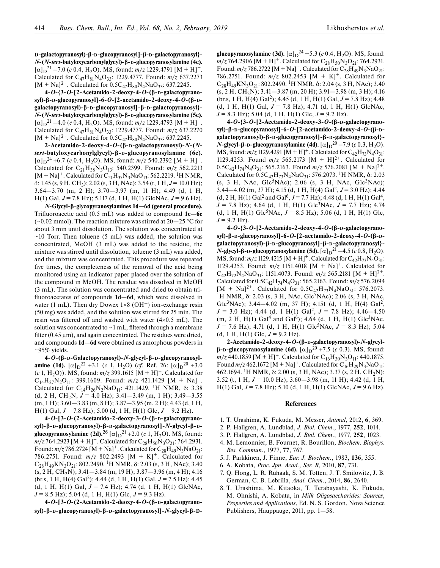**D-galactopyranosyl)-β-D-glucopyranosyl]-β-D-galactopyranosyl}-** *N***-(***N***-***tert***-butyloxycarbonylglycyl)-β-D-glucopyranosylamine (4c).**  $[\alpha]_{\text{D}}^{21}$  –7.0 (*c* 0.4, H<sub>2</sub>O). MS, found: *m*/*z* 1229.4791 [M + H]<sup>+</sup>. Calculated for C47H81N4O33: 1229.4777. Found: *m*/*z* 637.2273  $[M + Na]<sup>2+</sup>$ . Calculated for  $0.5C_{47}H_{80}N_4NaO_{33}$ : 637.2245.

**4-***O***-{3-***O***-[2-Acetamido-2-deoxy-4-***O***-(β-D-galacto pyranosyl)-β-D-glucopyranosyl]-6-***O***-[2-acetamido-2-deoxy-4-***O***-(β-Dgalactopyranosyl)-β-D-glucopyranosyl]-β-D-galactopyranosyl}-** *N***-(***N***-***tert***-butyloxycarbonylglycyl)-β-D-glucopyranosylamine (5c).**  $[\alpha]_{\text{D}}^{21}$  –4.0 (*c* 0.4, H<sub>2</sub>O). MS, found: *m*/*z* 1229.4793 [M + H]<sup>+</sup>. Calculated for C47H81N4O33: 1229.4777. Found: *m*/*z* 637.2270  $[M + Na]<sup>2+</sup>$ . Calculated for  $0.5C_{47}H_{80}N_4NaO_{33}$ : 637.2245.

**2-Acetamido-2-deoxy-4-***O***-(β-D-galactopyranosyl)-***N***-(***N**tert***-butyloxycarbonylglycyl)-β-D-glucopyranosylamine (6c).**  $[\alpha]_{\text{D}}^{24}$  +6.7 (*c* 0.4, H<sub>2</sub>O). MS, found: *m*/*z* 540.2392 [M + H]<sup>+</sup>. Calculated for  $C_{21}H_{38}N_3O_{13}$ : 540.2399. Found:  $m/z$  562.2213  $[M + Na]$ <sup>+</sup>. Calculated for C<sub>21</sub>H<sub>37</sub>N<sub>3</sub>NaO<sub>13</sub>: 562.2219. <sup>1</sup>H NMR,  $\delta$ : 1.45 (s, 9 H, CH<sub>3</sub>); 2.02 (s, 3 H, NAc); 3.54 (t, 1 H,  $J = 10.0$  Hz); 3.64—3.70 (m, 2 H); 3.70—3.97 (m, 11 H); 4.49 (d, 1 H, H(1) Gal, *J* = 7.8 Hz); 5.117 (d, 1 H, H(1) GlcNAc, *J* = 9.6 Hz).

*N***-Glycyl-β**-**glycopyranosylamines 1d—6d (general procedure).** Trifluoroacetic acid (0.5 mL) was added to compound  $1c$ –6c (~0.02 mmol). The reaction mixture was stirred at  $20-25$  °C for about 3 min until dissolution. The solution was concentrated at  $\sim$ 10 Torr. Then toluene (5 mL) was added, the solution was concentrated, MeOH (3 mL) was added to the residue, the mixture was stirred until dissolution, toluene (3 mL) was added, and the mixture was concentrated. This procedure was repeated five times, the completeness of the removal of the acid being monitored using an indicator paper placed over the solution of the compound in MeOH. The residue was dissolved in MeOH (3 mL). The solution was concentrated and dried to obtain trifluoroacetates of compounds **1d–6d**, which were dissolved in water (1 mL). Then dry Dowex  $1\times8$  (OH<sup>-</sup>) ion-exchange resin (50 mg) was added, and the solution was stirred for 25 min. The resin was filtered off and washed with water  $(4\times0.5 \text{ mL})$ . The solution was concentrated to  $\sim$  1 mL, filtered through a membrane filter  $(0.45 \,\mu\text{m})$ , and again concentrated. The residues were dried, and compounds **1d**—**6d** were obtained as amorphous powders in  $~10-95\%$  yields.

**4-***O***-(β-D-Galactopyranosyl)-***N***-glycyl-β-D-gluco pyrano sylamine** (1d).  $[\alpha]_D^2$  +3.1 (*c* 1, H<sub>2</sub>O) (*cf*. Ref. 26:  $[\alpha]_D^2$  +3.0 (*c* 1, H<sub>2</sub>O)). MS, found:  $m/z$  399.1615 [M + H]<sup>+</sup>. Calculated for  $C_{14}H_{27}N_2O_{11}$ : 399.1609. Found:  $m/z$  421.1429 [M + Na]<sup>+</sup>. Calculated for  $C_{14}H_{26}N_2NaO_{11}$ : 421.1429. <sup>1</sup>H NMR,  $\delta$ : 3.38 (d, 2 H, CH<sub>2</sub>N,  $J = 4.0$  Hz); 3.41–3.49 (m, 1 H); 3.49–3.55  $(m, 1 H);$  3.60  $-3.83$   $(m, 8 H);$  3.87  $-3.95$   $(m, 2 H);$  4.43 (d, 1 H, H(1) Gal, *J* = 7.8 Hz); 5.00 (d, 1 H, H(1) Glc, *J* = 9.2 Hz).

**4-***O***-[3-***O***-(2-Acetamido-2-deoxy-3-***O***-(β-D-galacto pyranosyl)-β-D-glucopyranosyl)-β-D-galactopyranosyl]-***N***-glycyl-β-Dglucopyranosylamine (2d).**<sup>26</sup>  $[\alpha]_D^{21}$  +2.0 (*c* 1, H<sub>2</sub>O). MS, found:  $m/z$  764.2923 [M + H]<sup>+</sup>. Calculated for C<sub>28</sub>H<sub>50</sub>N<sub>3</sub>O<sub>21</sub>: 764.2931. Found:  $m/z$  786.2724 [M + Na]<sup>+</sup>. Calculated for  $C_{28}H_{49}N_3NaO_{21}$ : 786.2751. Found: *m*/*z* 802.2493 [M + K]+. Calculated for  $C_{28}H_{49}KN_3O_{21}$ : 802.2490. <sup>1</sup>H NMR,  $\delta$ : 2.03 (s, 3 H, NAc); 3.40  $(s, 2 H, CH<sub>2</sub>N);$  3.41 - 3.84 (m, 19 H); 3.87 - 3.96 (m, 4 H); 4.16 (br.s, 1 H, H(4) Gal2); 4.44 (d, 1 H, H(1) Gal, *J* = 7.5 Hz); 4.45 (d, 1 H, H(1) Gal,  $J = 7.4$  Hz); 4.74 (d, 1 H, H(1) GlcNAc,  $J = 8.5$  Hz); 5.04 (d, 1 H, H(1) Glc,  $J = 9.3$  Hz).

**4-***O***-[3-***O***-(2-Acetamido-2-deoxy-4-***O***-(β-D-galacto pyranosyl)-β-D-glucopyranosyl)-β-D-galactopyranosyl]-***N***-glycyl-β-D-**

**glucopyranosylamine (3d).**  $[\alpha]_D^{24} + 5.3$  (*c* 0.4, H<sub>2</sub>O). MS, found:  $m/z$  764.2906 [M + H]<sup>+</sup>. Calculated for C<sub>28</sub>H<sub>50</sub>N<sub>3</sub>O<sub>21</sub>: 764.2931. Found:  $m/z$  786.2722 [M + Na]<sup>+</sup>. Calculated for  $C_{28}H_{49}N_3NaO_{21}$ : 786.2751. Found:  $m/z$  802.2453 [M + K]<sup>+</sup>. Calculated for  $C_{28}H_{49}KN_3O_{21}$ : 802.2490. <sup>1</sup>H NMR, δ: 2.04 (s, 3 H, NAc); 3.40  $(s, 2 H, CH<sub>2</sub>N);$  3.41 - 3.87 (m, 20 H); 3.91 - 3.98 (m, 3 H); 4.16  $(br.s, 1 H, H(4) Gal<sup>2</sup>)$ ; 4.45 (d, 1 H, H(1) Gal,  $J = 7.8$  Hz); 4.48 (d, 1 H, H(1) Gal,  $J = 7.8$  Hz); 4.71 (d, 1 H, H(1) GlcNAc,  $J = 8.3$  Hz); 5.04 (d, 1 H, H(1) Glc,  $J = 9.2$  Hz).

**4-***O***-{3-***O***-[2-Acetamido-2-deoxy-3-***O***-(β-D-galacto pyranosyl)-β-D-glucopyranosyl]-6-***O***-[2-acetamido-2-deoxy-4-***O***-(β-Dgalactopyranosyl)-β-D-glucopyranosyl]-β-D-galactopyranosyl}-** *N***-glycyl-β-**D**-glucopyranosylamine (4d).**  $[\alpha]_D^{20} - 7.9$  (*c* 0.3, H<sub>2</sub>O). MS, found:  $m/z$  1129.4291 [M + H]<sup>+</sup>. Calculated for C<sub>42</sub>H<sub>73</sub>N<sub>4</sub>O<sub>31</sub>: 1129.4253. Found  $m/z$  565.2173 [M + H]<sup>2+</sup>. Calculated for  $0.5C_{42}H_{74}N_4O_{31}$ : 565.2163. Found  $m/z$  576.2081 [M + Na]<sup>2+</sup>. Calculated for  $0.5C_{4}$ ,  $H_{73}N_4NaO_{31}$ : 576.2073. <sup>1</sup>H NMR, δ: 2.03  $(s, 3$  H, NAc, Glc<sup>5</sup>NAc); 2.06  $(s, 3$  H, NAc, Glc<sup>3</sup>NAc); 3.44—4.02 (m, 37 H); 4.15 (d, 1 H, H(4) Gal2, *J* = 3.0 Hz); 4.44 (d, 2 H, H(1) Gal<sup>2</sup> and Gal<sup>6</sup>,  $J = 7.7$  Hz); 4.48 (d, 1 H, H(1) Gal<sup>4</sup>, *J* = 7.8 Hz); 4.64 (d, 1 H, H(1) Glc3NAc, *J* = 7.7 Hz); 4.74 (d, 1 H, H(1) Glc<sup>5</sup>NAc,  $J = 8.5$  Hz); 5.06 (d, 1 H, H(1) Glc,  $J = 9.2$  Hz).

**4-***O***-{3-***O***-[2-Acetamido-2-deoxy-4-***O***-(β-D-galacto pyranosyl)-β-D-glucopyranosyl]-6-***O***-[2-acetamido-2-deoxy-4-***O***-(β-Dgalactopyranosyl)-β-D-glucopyranosyl]-β-D-galactopyranosyl}-** *N***-glycyl-β-**D**-glucopyranosylamine (5d).**  $[\alpha]_D^2$ <sup>1</sup> –4.5 (*c* 0.8, H<sub>2</sub>O). MS, found:  $m/z$  1129.4215 [M + H]<sup>+</sup>. Calculated for C<sub>42</sub>H<sub>73</sub>N<sub>4</sub>O<sub>31</sub>: 1129.4253. Found:  $m/z$  1151.4018 [M + Na]<sup>+</sup>. Calculated for  $C_{42}H_{72}N_4NaO_{31}$ : 1151.4073. Found:  $m/z$  565.2181 [M + H]<sup>2+</sup>. Calculated for 0.5C42H74N4O31: 565.2163. Found: *m*/*z* 576.2094  $[M + Na]<sup>2+</sup>$ . Calculated for  $0.5C_{42}H_{73}N_4NaO_{31}$ : 576.2073. <sup>1</sup>H NMR, δ: 2.03 (s, 3 H, NAc, Glc<sup>5</sup>NAc); 2.06 (s, 3 H, NAc, Glc<sup>3</sup>NAc); 3.44–4.02 (m, 37 H); 4.151 (d, 1 H, H(4) Gal<sup>2</sup>,  $J = 3.0$  Hz); 4.44 (d, 1 H(1) Gal<sup>2</sup>,  $J = 7.8$  Hz); 4.46–4.50  $(m, 2 H, H(1) Gal<sup>4</sup>$  and Gal<sup>6</sup>); 4.64 (d, 1 H, H(1) Glc<sup>3</sup>NAc,  $J = 7.6$  Hz); 4.71 (d, 1 H, H(1) Glc<sup>5</sup>NAc,  $J = 8.3$  Hz); 5.04  $(d, 1 H, H(1) \text{ Glc}, J = 9.2 \text{ Hz}).$ 

**2-Acetamido-2-deoxy-4-***O***-(β-D-galactopyranosyl)-***N***-glycylβ-D-glucopyranosylamine** (**6d**).  $[\alpha]_D^{20}$  +7.5 (*c* 0.3). MS, found:  $m/z$  440.1859 [M + H]<sup>+</sup>. Calculated for C<sub>16</sub>H<sub>30</sub>N<sub>3</sub>O<sub>11</sub>: 440.1875. Found  $m/z$  462.1672 [M + Na]<sup>+</sup>. Calculated for  $C_{16}H_{29}N_3NaO_{11}$ : 462.1694. <sup>1</sup>H NMR,  $\delta$ : 2.00 (s, 3 H, NAc); 3.37 (s, 2 H, CH<sub>2</sub>N); 3.52 (t, 1 H, *J* = 10.0 Hz); 3.60—3.98 (m, 11 H); 4.42 (d, 1 H, H(1) Gal, *J* = 7.8 Hz); 5.10 (d, 1 H, H(1) GlcNAc, *J* = 9.6 Hz).

## **References**

- 1. T. Urashima, K. Fukuda, M. Messer, *Animal*, 2012, **6**, 369.
- 2. P. Hallgren, A. Lundblad, *J. Biol. Chem*., 1977, **252**, 1014.
- 3. P. Hallgren, A. Lundblad, *J. Biol. Chem*., 1977, **252**, 1023.
- 4. M. Lemonnier, B. Fournet, R. Bourillon, *Biochem. Biophys. Res. Commun*., 1977, **77**, 767.
- 5. J. Parkkinen, J. Finne, *Eur. J. Biochem*., 1983, **136**, 355.
- 6. A. Kobata, *Proc. Jpn. Acad., Ser. B*, 2010, **87**, 731.
- 7. Q. Hong, L. R. Ruhaak, S. M. Totten, J. T. Smilowitz, J. B. German, C. B. Lebrilla, *Anal. Chem*., 2014, **86**, 2640.
- 8. T. Urashima, M. Kitaoka, T. Terabayashi, K. Fukuda, M. Ohnishi, A. Kobata, in *Milk Oligosaccharides: Sources*, *Properties and Applications*, Ed. N. S. Gordon, Nova Science Publishers, Hauppauge, 2011, pp. 1—58.